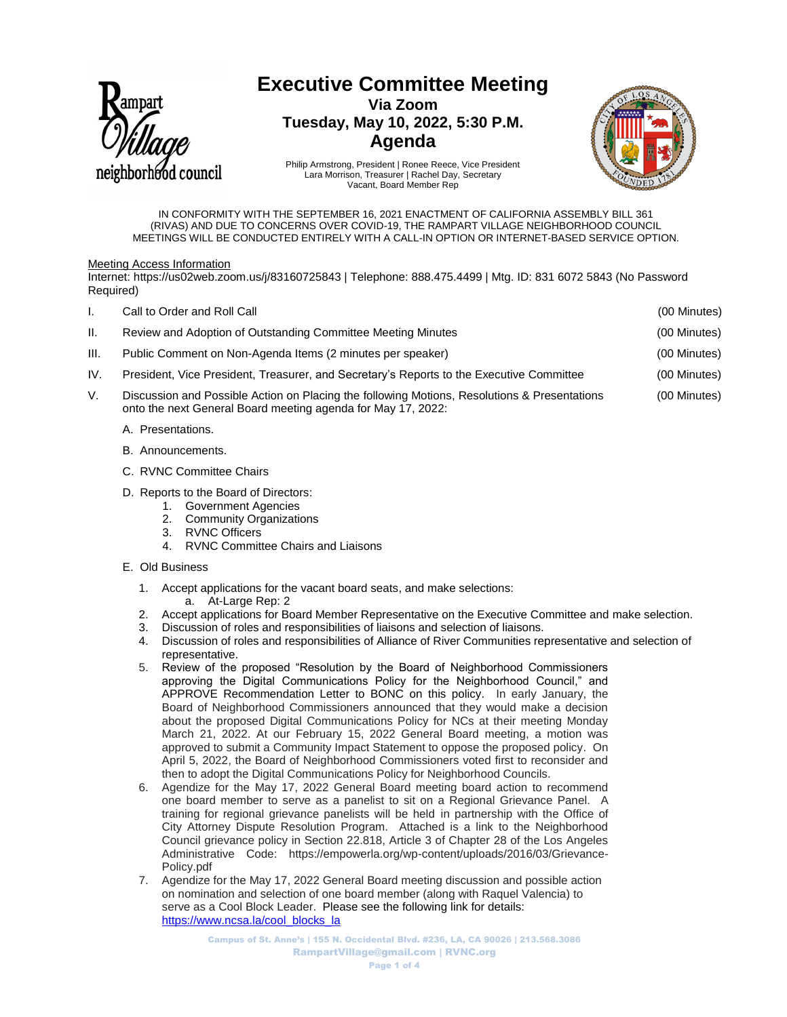

# **Executive Committee Meeting**

**Via Zoom Tuesday, May 10, 2022, 5:30 P.M. Agenda**



Philip Armstrong, President | Ronee Reece, Vice President Lara Morrison, Treasurer | Rachel Day, Secretary Vacant, Board Member Rep

IN CONFORMITY WITH THE SEPTEMBER 16, 2021 ENACTMENT OF CALIFORNIA ASSEMBLY BILL 361 (RIVAS) AND DUE TO CONCERNS OVER COVID-19, THE RAMPART VILLAGE NEIGHBORHOOD COUNCIL MEETINGS WILL BE CONDUCTED ENTIRELY WITH A CALL-IN OPTION OR INTERNET-BASED SERVICE OPTION.

## Meeting Access Information

Internet: https://us02web.zoom.us/j/83160725843 | Telephone: 888.475.4499 | Mtg. ID: 831 6072 5843 (No Password Required)

| ı.   | Call to Order and Roll Call                                                                                                                                  | (00 Minutes) |
|------|--------------------------------------------------------------------------------------------------------------------------------------------------------------|--------------|
| н.   | Review and Adoption of Outstanding Committee Meeting Minutes                                                                                                 | (00 Minutes) |
| III. | Public Comment on Non-Agenda Items (2 minutes per speaker)                                                                                                   | (00 Minutes) |
| IV.  | President, Vice President, Treasurer, and Secretary's Reports to the Executive Committee                                                                     | (00 Minutes) |
| V.   | Discussion and Possible Action on Placing the following Motions, Resolutions & Presentations<br>onto the next General Board meeting agenda for May 17, 2022: | (00 Minutes) |
|      | A. Presentations.                                                                                                                                            |              |

- B. Announcements.
- C. RVNC Committee Chairs
- D. Reports to the Board of Directors:
	- 1. Government Agencies<br>2. Community Organization
	- **Community Organizations**
	- 3. RVNC Officers
	- 4. RVNC Committee Chairs and Liaisons
- E. Old Business
	- 1. Accept applications for the vacant board seats, and make selections: a. At-Large Rep: 2
	- 2. Accept applications for Board Member Representative on the Executive Committee and make selection.
	- 3. Discussion of roles and responsibilities of liaisons and selection of liaisons.
	- 4. Discussion of roles and responsibilities of Alliance of River Communities representative and selection of representative.
	- 5. Review of the proposed "Resolution by the Board of Neighborhood Commissioners approving the Digital Communications Policy for the Neighborhood Council," and APPROVE Recommendation Letter to BONC on this policy. In early January, the Board of Neighborhood Commissioners announced that they would make a decision about the proposed Digital Communications Policy for NCs at their meeting Monday March 21, 2022. At our February 15, 2022 General Board meeting, a motion was approved to submit a Community Impact Statement to oppose the proposed policy. On April 5, 2022, the Board of Neighborhood Commissioners voted first to reconsider and then to adopt the Digital Communications Policy for Neighborhood Councils.
	- 6. Agendize for the May 17, 2022 General Board meeting board action to recommend one board member to serve as a panelist to sit on a Regional Grievance Panel. A training for regional grievance panelists will be held in partnership with the Office of City Attorney Dispute Resolution Program. Attached is a link to the Neighborhood Council grievance policy in Section 22.818, Article 3 of Chapter 28 of the Los Angeles Administrative Code: https://empowerla.org/wp-content/uploads/2016/03/Grievance-Policy.pdf
	- 7. Agendize for the May 17, 2022 General Board meeting discussion and possible action on nomination and selection of one board member (along with Raquel Valencia) to serve as a Cool Block Leader. Please see the following link for details: [https://www.ncsa.la/cool\\_blocks\\_la](https://www.ncsa.la/cool_blocks_la)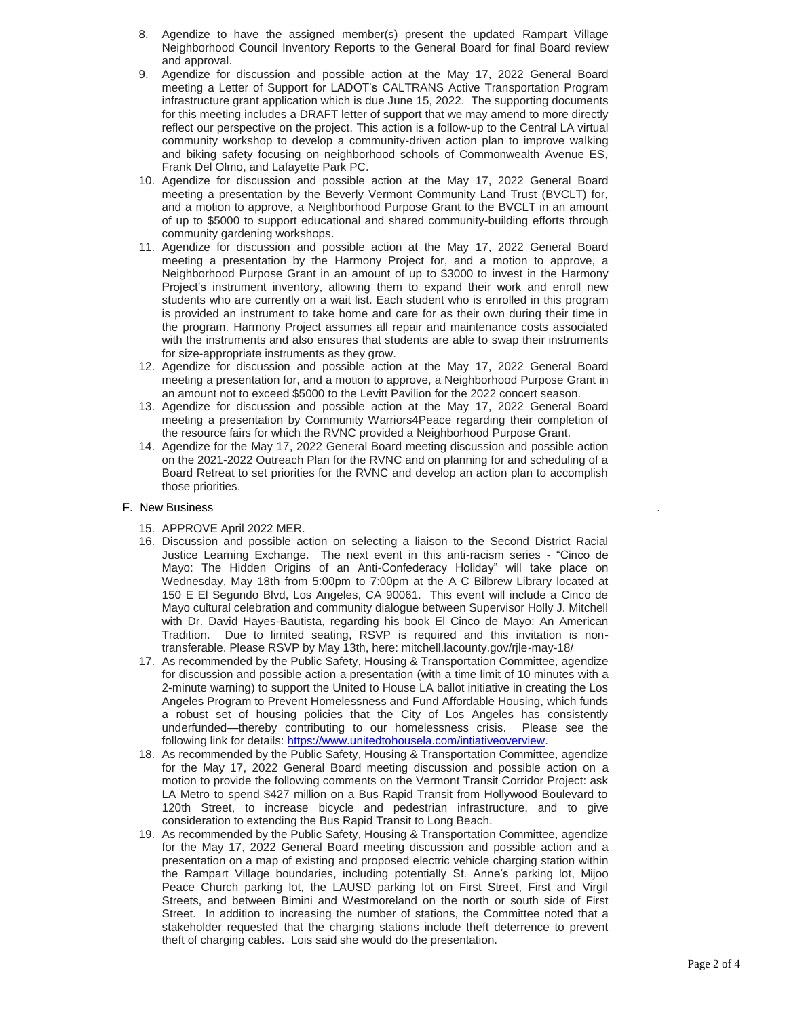- 8. Agendize to have the assigned member(s) present the updated Rampart Village Neighborhood Council Inventory Reports to the General Board for final Board review and approval.
- 9. Agendize for discussion and possible action at the May 17, 2022 General Board meeting a Letter of Support for LADOT's CALTRANS Active Transportation Program infrastructure grant application which is due June 15, 2022. The supporting documents for this meeting includes a DRAFT letter of support that we may amend to more directly reflect our perspective on the project. This action is a follow-up to the Central LA virtual community workshop to develop a community-driven action plan to improve walking and biking safety focusing on neighborhood schools of Commonwealth Avenue ES, Frank Del Olmo, and Lafayette Park PC.
- 10. Agendize for discussion and possible action at the May 17, 2022 General Board meeting a presentation by the Beverly Vermont Community Land Trust (BVCLT) for, and a motion to approve, a Neighborhood Purpose Grant to the BVCLT in an amount of up to \$5000 to support educational and shared community-building efforts through community gardening workshops.
- 11. Agendize for discussion and possible action at the May 17, 2022 General Board meeting a presentation by the Harmony Project for, and a motion to approve, a Neighborhood Purpose Grant in an amount of up to \$3000 to invest in the Harmony Project's instrument inventory, allowing them to expand their work and enroll new students who are currently on a wait list. Each student who is enrolled in this program is provided an instrument to take home and care for as their own during their time in the program. Harmony Project assumes all repair and maintenance costs associated with the instruments and also ensures that students are able to swap their instruments for size-appropriate instruments as they grow.
- 12. Agendize for discussion and possible action at the May 17, 2022 General Board meeting a presentation for, and a motion to approve, a Neighborhood Purpose Grant in an amount not to exceed \$5000 to the Levitt Pavilion for the 2022 concert season.
- 13. Agendize for discussion and possible action at the May 17, 2022 General Board meeting a presentation by Community Warriors4Peace regarding their completion of the resource fairs for which the RVNC provided a Neighborhood Purpose Grant.
- 14. Agendize for the May 17, 2022 General Board meeting discussion and possible action on the 2021-2022 Outreach Plan for the RVNC and on planning for and scheduling of a Board Retreat to set priorities for the RVNC and develop an action plan to accomplish those priorities.

## F. New Business

- 15. APPROVE April 2022 MER.
- 16. Discussion and possible action on selecting a liaison to the Second District Racial Justice Learning Exchange. The next event in this anti-racism series - "Cinco de Mayo: The Hidden Origins of an Anti-Confederacy Holiday" will take place on Wednesday, May 18th from 5:00pm to 7:00pm at the A C Bilbrew Library located at 150 E El Segundo Blvd, Los Angeles, CA 90061. This event will include a Cinco de Mayo cultural celebration and community dialogue between Supervisor Holly J. Mitchell with Dr. David Hayes-Bautista, regarding his book El Cinco de Mayo: An American Tradition. Due to limited seating, RSVP is required and this invitation is nontransferable. Please RSVP by May 13th, here: mitchell.lacounty.gov/rjle-may-18/
- 17. As recommended by the Public Safety, Housing & Transportation Committee, agendize for discussion and possible action a presentation (with a time limit of 10 minutes with a 2-minute warning) to support the United to House LA ballot initiative in creating the Los Angeles Program to Prevent Homelessness and Fund Affordable Housing, which funds a robust set of housing policies that the City of Los Angeles has consistently underfunded—thereby contributing to our homelessness crisis. Please see the following link for details[: https://www.unitedtohousela.com/intiativeoverview.](https://www.unitedtohousela.com/intiativeoverview)
- 18. As recommended by the Public Safety, Housing & Transportation Committee, agendize for the May 17, 2022 General Board meeting discussion and possible action on a motion to provide the following comments on the Vermont Transit Corridor Project: ask LA Metro to spend \$427 million on a Bus Rapid Transit from Hollywood Boulevard to 120th Street, to increase bicycle and pedestrian infrastructure, and to give consideration to extending the Bus Rapid Transit to Long Beach.
- 19. As recommended by the Public Safety, Housing & Transportation Committee, agendize for the May 17, 2022 General Board meeting discussion and possible action and a presentation on a map of existing and proposed electric vehicle charging station within the Rampart Village boundaries, including potentially St. Anne's parking lot, Mijoo Peace Church parking lot, the LAUSD parking lot on First Street, First and Virgil Streets, and between Bimini and Westmoreland on the north or south side of First Street. In addition to increasing the number of stations, the Committee noted that a stakeholder requested that the charging stations include theft deterrence to prevent theft of charging cables. Lois said she would do the presentation.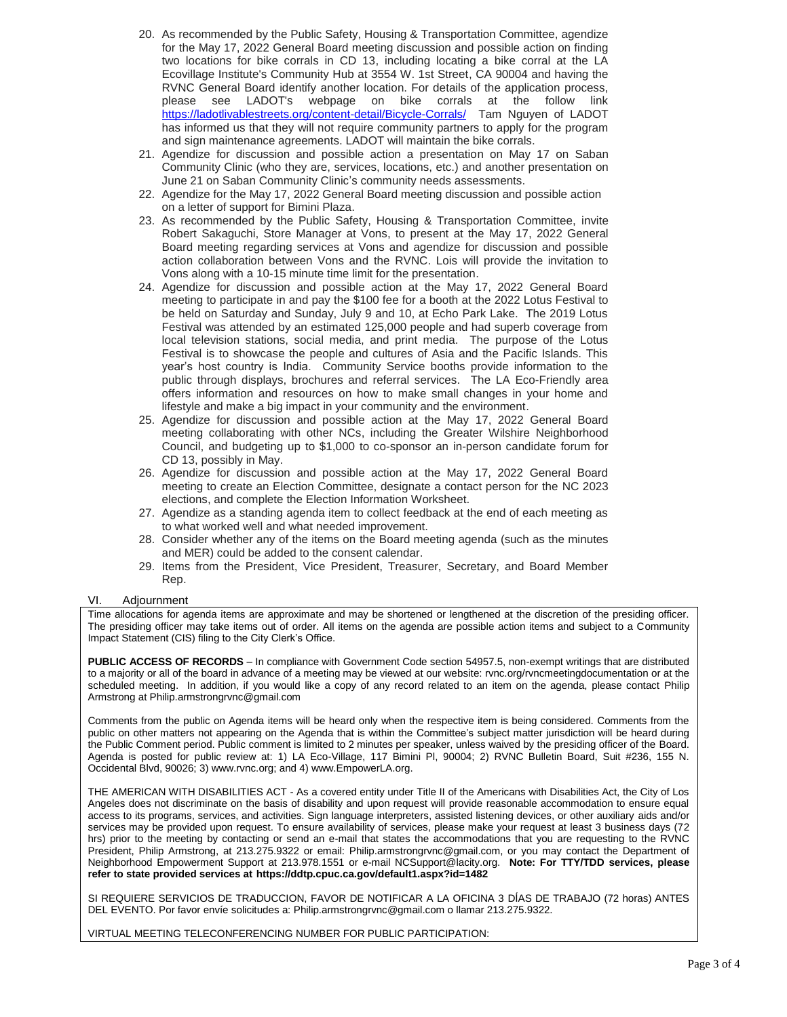- 20. As recommended by the Public Safety, Housing & Transportation Committee, agendize for the May 17, 2022 General Board meeting discussion and possible action on finding two locations for bike corrals in CD 13, including locating a bike corral at the LA Ecovillage Institute's Community Hub at 3554 W. 1st Street, CA 90004 and having the RVNC General Board identify another location. For details of the application process, please see LADOT's webpage on bike corrals at the follow link <https://ladotlivablestreets.org/content-detail/Bicycle-Corrals/>Tam Nguyen of LADOT has informed us that they will not require community partners to apply for the program and sign maintenance agreements. LADOT will maintain the bike corrals.
- 21. Agendize for discussion and possible action a presentation on May 17 on Saban Community Clinic (who they are, services, locations, etc.) and another presentation on June 21 on Saban Community Clinic's community needs assessments.
- 22. Agendize for the May 17, 2022 General Board meeting discussion and possible action on a letter of support for Bimini Plaza.
- 23. As recommended by the Public Safety, Housing & Transportation Committee, invite Robert Sakaguchi, Store Manager at Vons, to present at the May 17, 2022 General Board meeting regarding services at Vons and agendize for discussion and possible action collaboration between Vons and the RVNC. Lois will provide the invitation to Vons along with a 10-15 minute time limit for the presentation.
- 24. Agendize for discussion and possible action at the May 17, 2022 General Board meeting to participate in and pay the \$100 fee for a booth at the 2022 Lotus Festival to be held on Saturday and Sunday, July 9 and 10, at Echo Park Lake. The 2019 Lotus Festival was attended by an estimated 125,000 people and had superb coverage from local television stations, social media, and print media. The purpose of the Lotus Festival is to showcase the people and cultures of Asia and the Pacific Islands. This year's host country is India. Community Service booths provide information to the public through displays, brochures and referral services. The LA Eco-Friendly area offers information and resources on how to make small changes in your home and lifestyle and make a big impact in your community and the environment.
- 25. Agendize for discussion and possible action at the May 17, 2022 General Board meeting collaborating with other NCs, including the Greater Wilshire Neighborhood Council, and budgeting up to \$1,000 to co-sponsor an in-person candidate forum for CD 13, possibly in May.
- 26. Agendize for discussion and possible action at the May 17, 2022 General Board meeting to create an Election Committee, designate a contact person for the NC 2023 elections, and complete the Election Information Worksheet.
- 27. Agendize as a standing agenda item to collect feedback at the end of each meeting as to what worked well and what needed improvement.
- 28. Consider whether any of the items on the Board meeting agenda (such as the minutes and MER) could be added to the consent calendar.
- 29. Items from the President, Vice President, Treasurer, Secretary, and Board Member Rep.

## VI. Adjournment

Time allocations for agenda items are approximate and may be shortened or lengthened at the discretion of the presiding officer. The presiding officer may take items out of order. All items on the agenda are possible action items and subject to a Community Impact Statement (CIS) filing to the City Clerk's Office.

**PUBLIC ACCESS OF RECORDS** – In compliance with Government Code section 54957.5, non-exempt writings that are distributed to a majority or all of the board in advance of a meeting may be viewed at our website: rvnc.org/rvncmeetingdocumentation or at the scheduled meeting. In addition, if you would like a copy of any record related to an item on the agenda, please contact Philip Armstrong at Philip.armstrongrvnc@gmail.com

Comments from the public on Agenda items will be heard only when the respective item is being considered. Comments from the public on other matters not appearing on the Agenda that is within the Committee's subject matter jurisdiction will be heard during the Public Comment period. Public comment is limited to 2 minutes per speaker, unless waived by the presiding officer of the Board. Agenda is posted for public review at: 1) LA Eco-Village, 117 Bimini Pl, 90004; 2) RVNC Bulletin Board, Suit #236, 155 N. Occidental Blvd, 90026; 3) www.rvnc.org; and 4) www.EmpowerLA.org.

THE AMERICAN WITH DISABILITIES ACT - As a covered entity under Title II of the Americans with Disabilities Act, the City of Los Angeles does not discriminate on the basis of disability and upon request will provide reasonable accommodation to ensure equal access to its programs, services, and activities. Sign language interpreters, assisted listening devices, or other auxiliary aids and/or services may be provided upon request. To ensure availability of services, please make your request at least 3 business days (72 hrs) prior to the meeting by contacting or send an e-mail that states the accommodations that you are requesting to the RVNC President, Philip Armstrong, at 213.275.9322 or email: Philip.armstrongrvnc@gmail.com, or you may contact the Department of Neighborhood Empowerment Support at 213.978.1551 or e-mail NCSupport@lacity.org. **Note: For TTY/TDD services, please refer to state provided services at https://ddtp.cpuc.ca.gov/default1.aspx?id=1482**

SI REQUIERE SERVICIOS DE TRADUCCION, FAVOR DE NOTIFICAR A LA OFICINA 3 DÍAS DE TRABAJO (72 horas) ANTES DEL EVENTO. Por favor envíe solicitudes a: Philip.armstrongrvnc@gmail.com o llamar 213.275.9322.

VIRTUAL MEETING TELECONFERENCING NUMBER FOR PUBLIC PARTICIPATION: